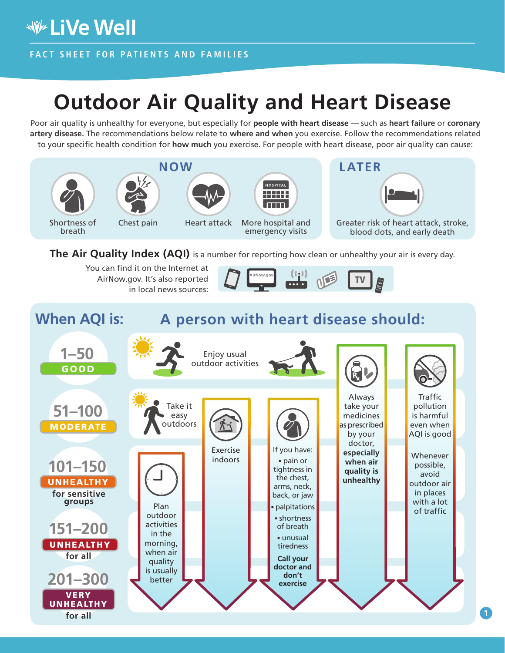### **FACT SHEET FOR PATIENTS AND FAMILIES**

# **Outdoor Air Quality and Heart Disease**

Poor air quality is unhealthy for everyone, but especially for **people with heart disease** — such as **heart failure** or **coronary artery disease.** The recommendations below relate to **where and when** you exercise. Follow the recommendations related to your specific health condition for **how much** you exercise. For people with heart disease, poor air quality can cause:



#### **for all for all A person with heart disease should:** Enjoy usual outdoor activities **1–50** GOOD MODERATE **51–100** UNHEALTHY **151–200** VERY UNHEALTHY **201–300** UNHEALTHY **101–150 for sensitive groups** Exercise indoors Take it easy utdoors Always take your medicines as prescribed by your doctor, **especially when air quality is unhealthy** If you have: • pain or tightness in the chest, arms, neck, back, or jaw • palpitations • shortness of breath • unusual tiredness **Call your doctor and don't exercise** Plan outdoor activities in the morning, when air quality is usually better **Traffic** pollution is harmful even when AQI is good Whenever possible, avoid outdoor air in places with a lot of traffic **When AQI is: for all**